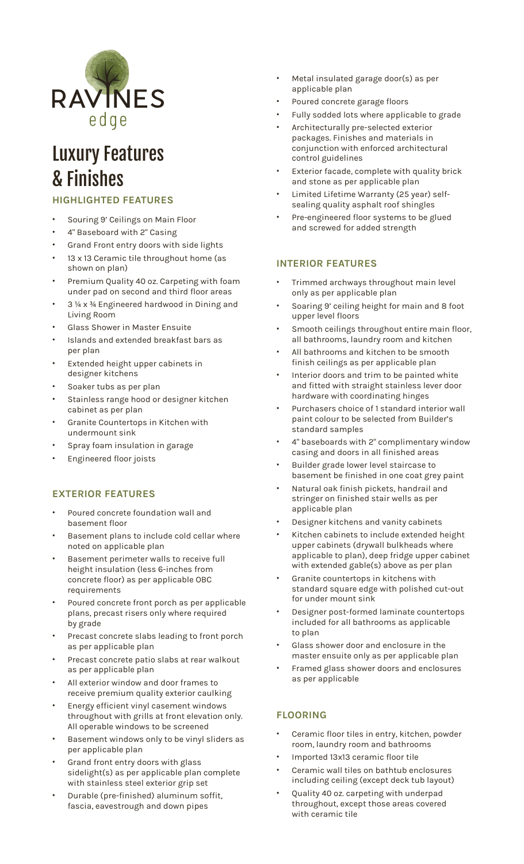

# Luxury Features & Finishes

# **HIGHLIGHTED FEATURES**

- Souring 9' Ceilings on Main Floor
- 4" Baseboard with 2" Casing
- Grand Front entry doors with side lights
- 13 x 13 Ceramic tile throughout home (as shown on plan)
- Premium Quality 40 oz. Carpeting with foam under pad on second and third floor areas
- 3 1/4 x 3/4 Engineered hardwood in Dining and Living Room
- Glass Shower in Master Ensuite
- Islands and extended breakfast bars as per plan
- Extended height upper cabinets in designer kitchens
- Soaker tubs as per plan
- Stainless range hood or designer kitchen cabinet as per plan
- Granite Countertops in Kitchen with undermount sink
- Spray foam insulation in garage
- Engineered floor joists

#### **EXTERIOR FEATURES**

- Poured concrete foundation wall and basement floor
- Basement plans to include cold cellar where noted on applicable plan
- Basement perimeter walls to receive full height insulation (less 6-inches from concrete floor) as per applicable OBC requirements
- Poured concrete front porch as per applicable plans, precast risers only where required by grade
- Precast concrete slabs leading to front porch as per applicable plan
- Precast concrete patio slabs at rear walkout as per applicable plan
- All exterior window and door frames to receive premium quality exterior caulking
- Energy efficient vinyl casement windows throughout with grills at front elevation only. All operable windows to be screened
- Basement windows only to be vinyl sliders as per applicable plan
- Grand front entry doors with glass sidelight(s) as per applicable plan complete with stainless steel exterior grip set
- Durable (pre-finished) aluminum soffit, fascia, eavestrough and down pipes
- Metal insulated garage door(s) as per applicable plan
- Poured concrete garage floors
- Fully sodded lots where applicable to grade
- Architecturally pre-selected exterior packages. Finishes and materials in conjunction with enforced architectural control guidelines
- Exterior facade, complete with quality brick and stone as per applicable plan
- Limited Lifetime Warranty (25 year) selfsealing quality asphalt roof shingles
- Pre-engineered floor systems to be glued and screwed for added strength

### **INTERIOR FEATURES**

- Trimmed archways throughout main level only as per applicable plan
- Soaring 9' ceiling height for main and 8 foot upper level floors
- Smooth ceilings throughout entire main floor, all bathrooms, laundry room and kitchen
- All bathrooms and kitchen to be smooth finish ceilings as per applicable plan
- Interior doors and trim to be painted white and fitted with straight stainless lever door hardware with coordinating hinges
- Purchasers choice of 1 standard interior wall paint colour to be selected from Builder's standard samples
- 4" baseboards with 2" complimentary window casing and doors in all finished areas
- Builder grade lower level staircase to basement be finished in one coat grey paint
- Natural oak finish pickets, handrail and stringer on finished stair wells as per applicable plan
- Designer kitchens and vanity cabinets
- Kitchen cabinets to include extended height upper cabinets (drywall bulkheads where applicable to plan), deep fridge upper cabinet with extended gable(s) above as per plan
- Granite countertops in kitchens with standard square edge with polished cut-out for under mount sink
- Designer post-formed laminate countertops included for all bathrooms as applicable to plan
- Glass shower door and enclosure in the master ensuite only as per applicable plan
- Framed glass shower doors and enclosures as per applicable

# **FLOORING**

- Ceramic floor tiles in entry, kitchen, powder room, laundry room and bathrooms
- Imported 13x13 ceramic floor tile
- Ceramic wall tiles on bathtub enclosures including ceiling (except deck tub layout)
- Quality 40 oz. carpeting with underpad throughout, except those areas covered with ceramic tile